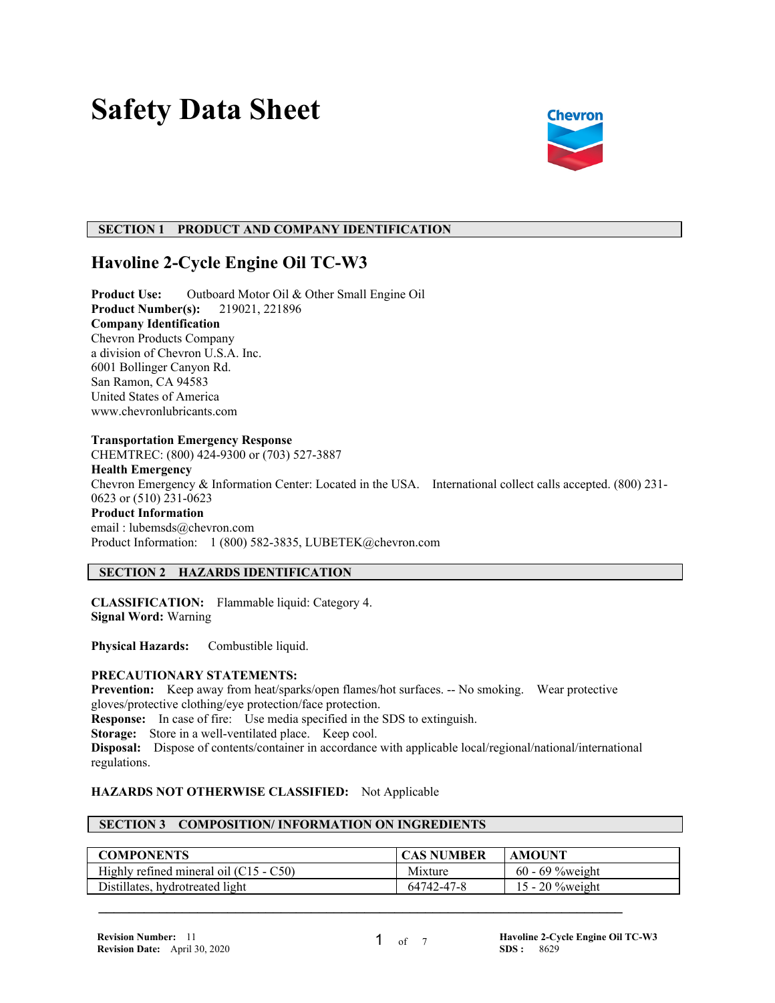# **Safety Data Sheet**



# **SECTION 1 PRODUCT AND COMPANY IDENTIFICATION**

# **Havoline 2-Cycle Engine Oil TC-W3**

**Product Use:** Outboard Motor Oil & Other Small Engine Oil **Product Number(s):** 219021, 221896 **Company Identification** Chevron Products Company a division of Chevron U.S.A. Inc. 6001 Bollinger Canyon Rd. San Ramon, CA 94583 United States of America www.chevronlubricants.com

#### **Transportation Emergency Response**

CHEMTREC: (800) 424-9300 or (703) 527-3887 **Health Emergency** Chevron Emergency & Information Center: Located in the USA. International collect calls accepted. (800) 231- 0623 or (510) 231-0623 **Product Information** email : lubemsds@chevron.com Product Information: 1 (800) 582-3835, LUBETEK@chevron.com

# **SECTION 2 HAZARDS IDENTIFICATION**

**CLASSIFICATION:** Flammable liquid: Category 4. **Signal Word:** Warning

**Physical Hazards:** Combustible liquid.

#### **PRECAUTIONARY STATEMENTS:**

**Prevention:** Keep away from heat/sparks/open flames/hot surfaces. -- No smoking. Wear protective gloves/protective clothing/eye protection/face protection. **Response:** In case of fire: Use media specified in the SDS to extinguish. **Storage:** Store in a well-ventilated place. Keep cool. **Disposal:** Dispose of contents/container in accordance with applicable local/regional/national/international regulations.

#### **HAZARDS NOT OTHERWISE CLASSIFIED:** Not Applicable

#### **SECTION 3 COMPOSITION/ INFORMATION ON INGREDIENTS**

| <b>COMPONENTS</b>                        | <b>CAS NUMBER</b> | <b>AMOUNT</b>      |
|------------------------------------------|-------------------|--------------------|
| Highly refined mineral oil $(C15 - C50)$ | Mixture           | $60 - 69$ %weight  |
| Distillates, hydrotreated light          | 64742-47-8        | 15 - 20 $%$ weight |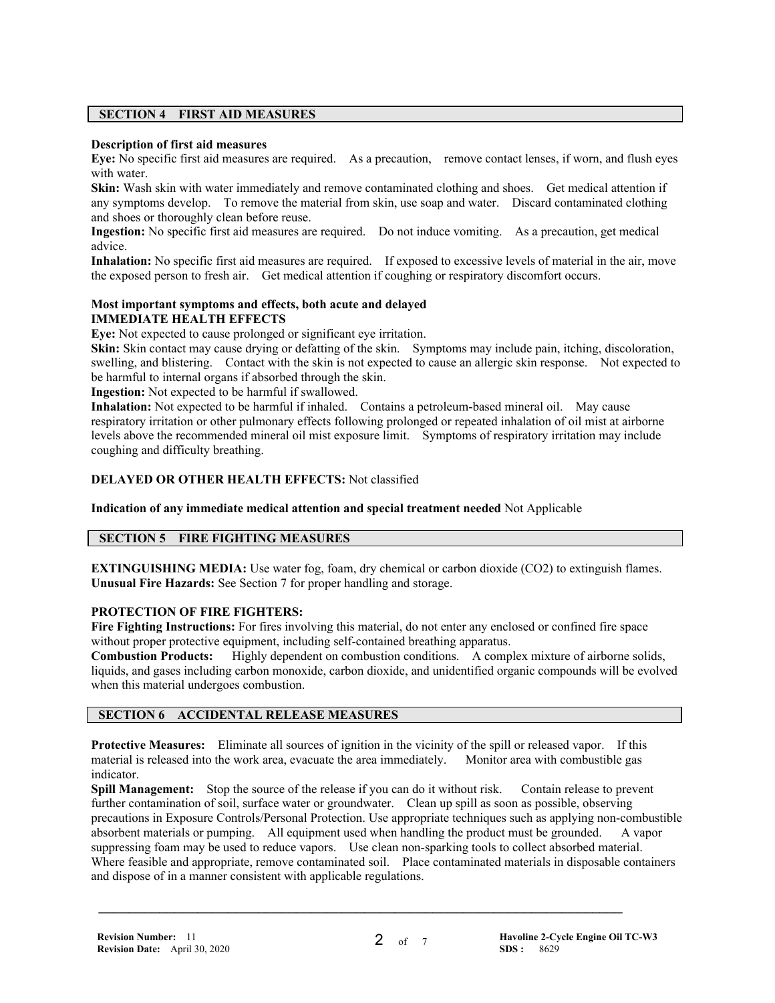# **SECTION 4 FIRST AID MEASURES**

#### **Description of first aid measures**

**Eye:** No specific first aid measures are required. As a precaution, remove contact lenses, if worn, and flush eyes with water.

**Skin:** Wash skin with water immediately and remove contaminated clothing and shoes. Get medical attention if any symptoms develop. To remove the material from skin, use soap and water. Discard contaminated clothing and shoes or thoroughly clean before reuse.

**Ingestion:** No specific first aid measures are required. Do not induce vomiting. As a precaution, get medical advice.

**Inhalation:** No specific first aid measures are required. If exposed to excessive levels of material in the air, move the exposed person to fresh air. Get medical attention if coughing or respiratory discomfort occurs.

#### **Most important symptoms and effects, both acute and delayed IMMEDIATE HEALTH EFFECTS**

**Eye:** Not expected to cause prolonged or significant eye irritation.

**Skin:** Skin contact may cause drying or defatting of the skin. Symptoms may include pain, itching, discoloration, swelling, and blistering. Contact with the skin is not expected to cause an allergic skin response. Not expected to be harmful to internal organs if absorbed through the skin.

**Ingestion:** Not expected to be harmful if swallowed.

**Inhalation:** Not expected to be harmful if inhaled. Contains a petroleum-based mineral oil. May cause respiratory irritation or other pulmonary effects following prolonged or repeated inhalation of oil mist at airborne levels above the recommended mineral oil mist exposure limit. Symptoms of respiratory irritation may include coughing and difficulty breathing.

#### **DELAYED OR OTHER HEALTH EFFECTS:** Not classified

**Indication of any immediate medical attention and special treatment needed** Not Applicable

# **SECTION 5 FIRE FIGHTING MEASURES**

**EXTINGUISHING MEDIA:** Use water fog, foam, dry chemical or carbon dioxide (CO2) to extinguish flames. **Unusual Fire Hazards:** See Section 7 for proper handling and storage.

#### **PROTECTION OF FIRE FIGHTERS:**

**Fire Fighting Instructions:** For fires involving this material, do not enter any enclosed or confined fire space without proper protective equipment, including self-contained breathing apparatus.<br>Combustion Products: Highly dependent on combustion conditions. A comp

Highly dependent on combustion conditions. A complex mixture of airborne solids, liquids, and gases including carbon monoxide, carbon dioxide, and unidentified organic compounds will be evolved when this material undergoes combustion.

# **SECTION 6 ACCIDENTAL RELEASE MEASURES**

**Protective Measures:** Eliminate all sources of ignition in the vicinity of the spill or released vapor. If this material is released into the work area, evacuate the area immediately. Monitor area with combustible gas indicator.

 **\_\_\_\_\_\_\_\_\_\_\_\_\_\_\_\_\_\_\_\_\_\_\_\_\_\_\_\_\_\_\_\_\_\_\_\_\_\_\_\_\_\_\_\_\_\_\_\_\_\_\_\_\_\_\_\_\_\_\_\_\_\_\_\_\_\_\_\_\_**

**Spill Management:** Stop the source of the release if you can do it without risk. Contain release to prevent further contamination of soil, surface water or groundwater. Clean up spill as soon as possible, observing precautions in Exposure Controls/Personal Protection. Use appropriate techniques such as applying non-combustible absorbent materials or pumping. All equipment used when handling the product must be grounded. A vapor suppressing foam may be used to reduce vapors. Use clean non-sparking tools to collect absorbed material. Where feasible and appropriate, remove contaminated soil. Place contaminated materials in disposable containers and dispose of in a manner consistent with applicable regulations.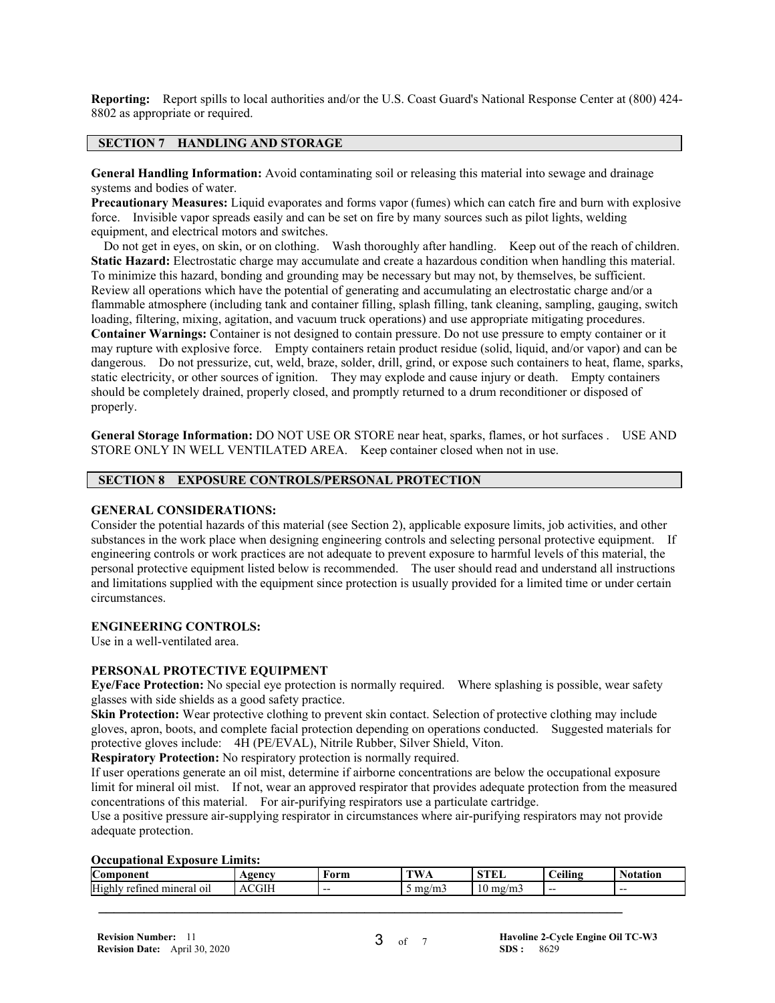**Reporting:** Report spills to local authorities and/or the U.S. Coast Guard's National Response Center at (800) 424- 8802 as appropriate or required.

#### **SECTION 7 HANDLING AND STORAGE**

**General Handling Information:** Avoid contaminating soil or releasing this material into sewage and drainage systems and bodies of water.

**Precautionary Measures:** Liquid evaporates and forms vapor (fumes) which can catch fire and burn with explosive force. Invisible vapor spreads easily and can be set on fire by many sources such as pilot lights, welding equipment, and electrical motors and switches.

 Do not get in eyes, on skin, or on clothing. Wash thoroughly after handling. Keep out of the reach of children. **Static Hazard:** Electrostatic charge may accumulate and create a hazardous condition when handling this material. To minimize this hazard, bonding and grounding may be necessary but may not, by themselves, be sufficient. Review all operations which have the potential of generating and accumulating an electrostatic charge and/or a flammable atmosphere (including tank and container filling, splash filling, tank cleaning, sampling, gauging, switch loading, filtering, mixing, agitation, and vacuum truck operations) and use appropriate mitigating procedures. **Container Warnings:** Container is not designed to contain pressure. Do not use pressure to empty container or it may rupture with explosive force. Empty containers retain product residue (solid, liquid, and/or vapor) and can be dangerous. Do not pressurize, cut, weld, braze, solder, drill, grind, or expose such containers to heat, flame, sparks, static electricity, or other sources of ignition. They may explode and cause injury or death. Empty containers should be completely drained, properly closed, and promptly returned to a drum reconditioner or disposed of properly.

**General Storage Information:** DO NOT USE OR STORE near heat, sparks, flames, or hot surfaces . USE AND STORE ONLY IN WELL VENTILATED AREA. Keep container closed when not in use.

# **SECTION 8 EXPOSURE CONTROLS/PERSONAL PROTECTION**

#### **GENERAL CONSIDERATIONS:**

Consider the potential hazards of this material (see Section 2), applicable exposure limits, job activities, and other substances in the work place when designing engineering controls and selecting personal protective equipment. If engineering controls or work practices are not adequate to prevent exposure to harmful levels of this material, the personal protective equipment listed below is recommended. The user should read and understand all instructions and limitations supplied with the equipment since protection is usually provided for a limited time or under certain circumstances.

#### **ENGINEERING CONTROLS:**

Use in a well-ventilated area.

#### **PERSONAL PROTECTIVE EQUIPMENT**

**Eye/Face Protection:** No special eye protection is normally required. Where splashing is possible, wear safety glasses with side shields as a good safety practice.

**Skin Protection:** Wear protective clothing to prevent skin contact. Selection of protective clothing may include gloves, apron, boots, and complete facial protection depending on operations conducted. Suggested materials for protective gloves include: 4H (PE/EVAL), Nitrile Rubber, Silver Shield, Viton.

**Respiratory Protection:** No respiratory protection is normally required.

If user operations generate an oil mist, determine if airborne concentrations are below the occupational exposure limit for mineral oil mist. If not, wear an approved respirator that provides adequate protection from the measured concentrations of this material. For air-purifying respirators use a particulate cartridge.

Use a positive pressure air-supplying respirator in circumstances where air-purifying respirators may not provide adequate protection.

#### **Occupational Exposure Limits:**

| Com <sub>1</sub><br>oonen                                                  | <b>Agency</b>                                          | Form  | $T = T$<br>.          | <b>STEI</b><br>பட                                | <br>-<br>Ceiling | <b>Otation</b> |
|----------------------------------------------------------------------------|--------------------------------------------------------|-------|-----------------------|--------------------------------------------------|------------------|----------------|
| -<br>$\sim$ $\sim$<br>High<br>minera<br>retin<br>-011<br>$.$ me $\epsilon$ | $1$ $\cap$ $1$ $\Gamma$ $^{\circ}$<br>$\Lambda$<br>UІГ | $- -$ | mg<br>$1 - 1$<br>سىدى | $\sim$<br>$\sim$<br>1 V<br>$\mathbf{H}$<br>-111- | --               | $- -$          |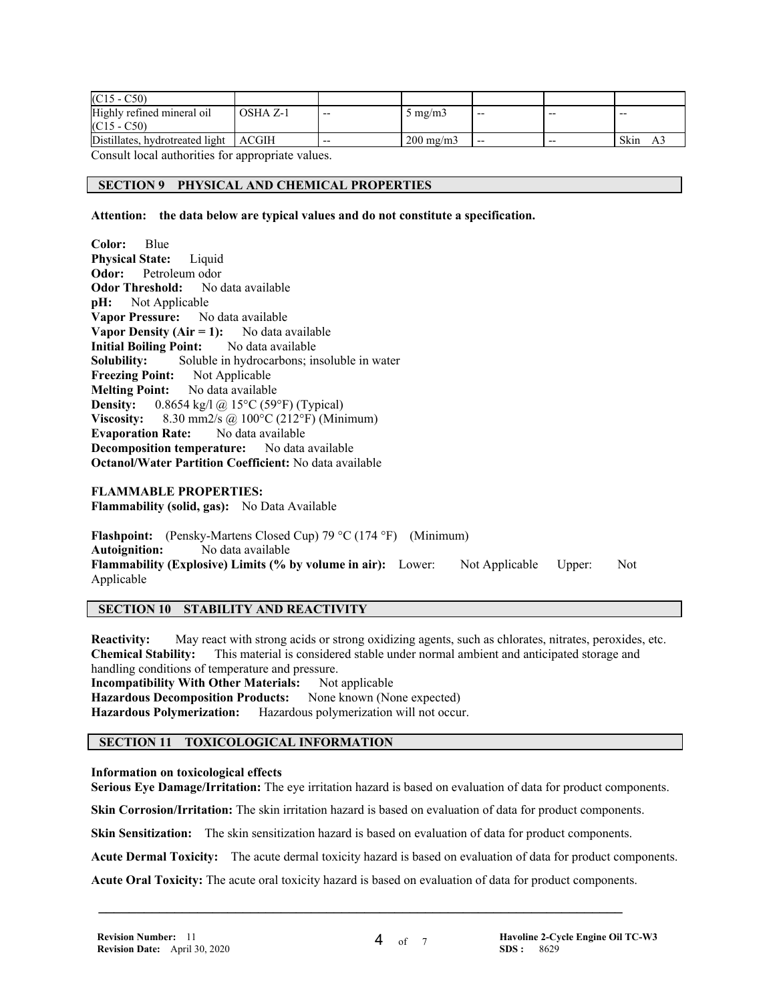| $(C15 - C50)$                           |          |       |                    |       |       |       |
|-----------------------------------------|----------|-------|--------------------|-------|-------|-------|
| Highly refined mineral oil              | OSHA Z-1 | $- -$ | 5 mg/m $3$         | $- -$ | $- -$ | $- -$ |
| $(C15 - C50)$                           |          |       |                    |       |       |       |
| Distillates, hydrotreated light   ACGIH |          | $- -$ | $200 \text{ mg/m}$ | $- -$ | --    | Skin  |

Consult local authorities for appropriate values.

#### **SECTION 9 PHYSICAL AND CHEMICAL PROPERTIES**

**Attention: the data below are typical values and do not constitute a specification.**

**Color:** Blue **Physical State:** Liquid **Odor:** Petroleum odor **Odor Threshold:** No data available **pH:** Not Applicable **Vapor Pressure:** No data available **Vapor Density (Air = 1):** No data available **Initial Boiling Point:** No data available **Solubility:** Soluble in hydrocarbons; insoluble in water **Freezing Point:** Not Applicable **Melting Point:** No data available **Density:** 0.8654 kg/l @ 15°C (59°F) (Typical) **Viscosity:** 8.30 mm2/s @ 100°C (212°F) (Minimum) **Evaporation Rate:** No data available **Decomposition temperature:** No data available **Octanol/Water Partition Coefficient:** No data available

#### **FLAMMABLE PROPERTIES:**

**Flammability (solid, gas):** No Data Available

**Flashpoint:** (Pensky-Martens Closed Cup) 79 °C (174 °F) (Minimum) **Autoignition:** No data available **Flammability (Explosive) Limits (% by volume in air):** Lower: Not Applicable Upper: Not Applicable

#### **SECTION 10 STABILITY AND REACTIVITY**

**Reactivity:** May react with strong acids or strong oxidizing agents, such as chlorates, nitrates, peroxides, etc. **Chemical Stability:** This material is considered stable under normal ambient and anticipated storage and handling conditions of temperature and pressure. **Incompatibility With Other Materials:** Not applicable **Hazardous Decomposition Products:** None known (None expected)

**Hazardous Polymerization:** Hazardous polymerization will not occur.

# **SECTION 11 TOXICOLOGICAL INFORMATION**

#### **Information on toxicological effects**

**Serious Eye Damage/Irritation:** The eye irritation hazard is based on evaluation of data for product components.

**Skin Corrosion/Irritation:** The skin irritation hazard is based on evaluation of data for product components.

**Skin Sensitization:** The skin sensitization hazard is based on evaluation of data for product components.

**Acute Dermal Toxicity:** The acute dermal toxicity hazard is based on evaluation of data for product components.

**Acute Oral Toxicity:** The acute oral toxicity hazard is based on evaluation of data for product components.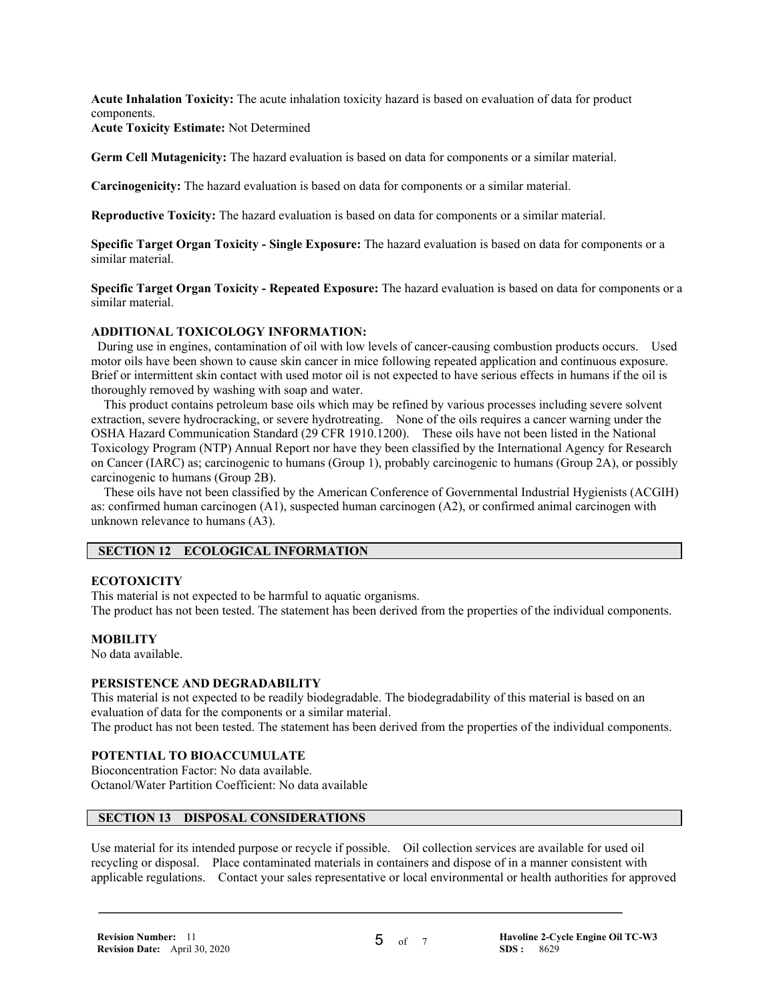**Acute Inhalation Toxicity:** The acute inhalation toxicity hazard is based on evaluation of data for product components.

**Acute Toxicity Estimate:** Not Determined

**Germ Cell Mutagenicity:** The hazard evaluation is based on data for components or a similar material.

**Carcinogenicity:** The hazard evaluation is based on data for components or a similar material.

**Reproductive Toxicity:** The hazard evaluation is based on data for components or a similar material.

**Specific Target Organ Toxicity - Single Exposure:** The hazard evaluation is based on data for components or a similar material.

**Specific Target Organ Toxicity - Repeated Exposure:** The hazard evaluation is based on data for components or a similar material.

#### **ADDITIONAL TOXICOLOGY INFORMATION:**

 During use in engines, contamination of oil with low levels of cancer-causing combustion products occurs. Used motor oils have been shown to cause skin cancer in mice following repeated application and continuous exposure. Brief or intermittent skin contact with used motor oil is not expected to have serious effects in humans if the oil is thoroughly removed by washing with soap and water.

 This product contains petroleum base oils which may be refined by various processes including severe solvent extraction, severe hydrocracking, or severe hydrotreating. None of the oils requires a cancer warning under the OSHA Hazard Communication Standard (29 CFR 1910.1200). These oils have not been listed in the National Toxicology Program (NTP) Annual Report nor have they been classified by the International Agency for Research on Cancer (IARC) as; carcinogenic to humans (Group 1), probably carcinogenic to humans (Group 2A), or possibly carcinogenic to humans (Group 2B).

 These oils have not been classified by the American Conference of Governmental Industrial Hygienists (ACGIH) as: confirmed human carcinogen (A1), suspected human carcinogen (A2), or confirmed animal carcinogen with unknown relevance to humans (A3).

#### **SECTION 12 ECOLOGICAL INFORMATION**

#### **ECOTOXICITY**

This material is not expected to be harmful to aquatic organisms.

The product has not been tested. The statement has been derived from the properties of the individual components.

#### **MOBILITY**

No data available.

#### **PERSISTENCE AND DEGRADABILITY**

This material is not expected to be readily biodegradable. The biodegradability of this material is based on an evaluation of data for the components or a similar material.

The product has not been tested. The statement has been derived from the properties of the individual components.

#### **POTENTIAL TO BIOACCUMULATE**

Bioconcentration Factor: No data available. Octanol/Water Partition Coefficient: No data available

# **SECTION 13 DISPOSAL CONSIDERATIONS**

Use material for its intended purpose or recycle if possible. Oil collection services are available for used oil recycling or disposal. Place contaminated materials in containers and dispose of in a manner consistent with applicable regulations. Contact your sales representative or local environmental or health authorities for approved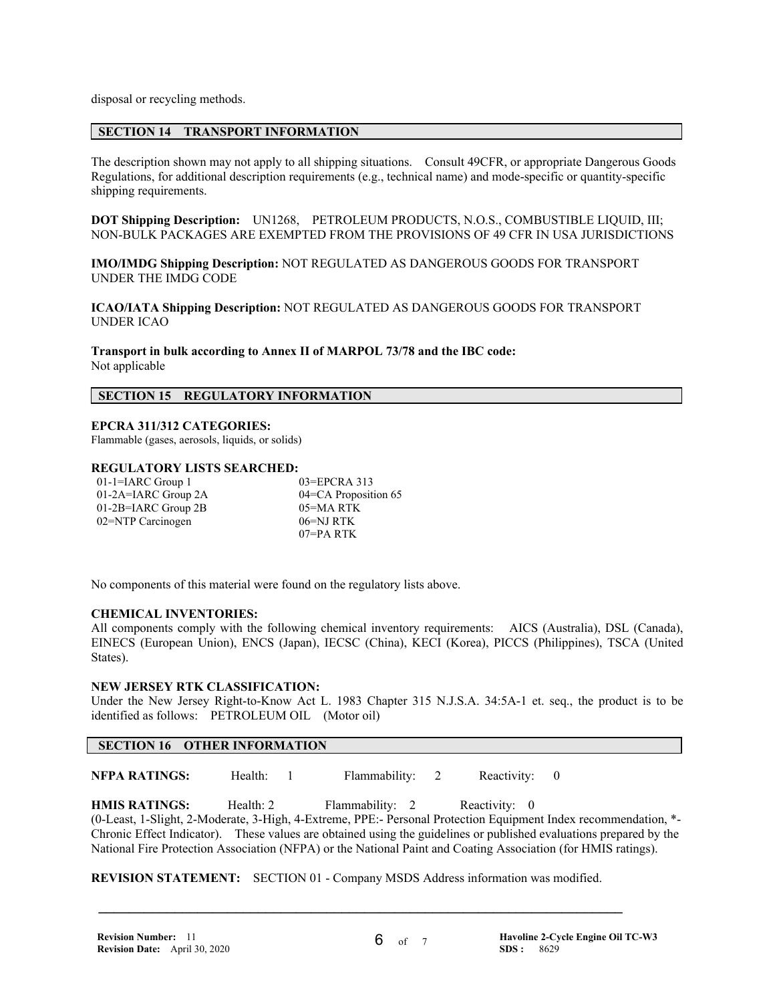disposal or recycling methods.

#### **SECTION 14 TRANSPORT INFORMATION**

The description shown may not apply to all shipping situations. Consult 49CFR, or appropriate Dangerous Goods Regulations, for additional description requirements (e.g., technical name) and mode-specific or quantity-specific shipping requirements.

**DOT Shipping Description:** UN1268, PETROLEUM PRODUCTS, N.O.S., COMBUSTIBLE LIQUID, III; NON-BULK PACKAGES ARE EXEMPTED FROM THE PROVISIONS OF 49 CFR IN USA JURISDICTIONS

**IMO/IMDG Shipping Description:** NOT REGULATED AS DANGEROUS GOODS FOR TRANSPORT UNDER THE IMDG CODE

**ICAO/IATA Shipping Description:** NOT REGULATED AS DANGEROUS GOODS FOR TRANSPORT UNDER ICAO

**Transport in bulk according to Annex II of MARPOL 73/78 and the IBC code:** Not applicable

#### **SECTION 15 REGULATORY INFORMATION**

### **EPCRA 311/312 CATEGORIES:**

Flammable (gases, aerosols, liquids, or solids)

#### **REGULATORY LISTS SEARCHED:**

01-1=IARC Group 1 03=EPCRA 313 01-2A=IARC Group 2A 04=CA Proposition 65 01-2B=IARC Group 2B 05=MA RTK 02=NTP Carcinogen 06=NJ RTK

07=PA RTK

No components of this material were found on the regulatory lists above.

#### **CHEMICAL INVENTORIES:**

All components comply with the following chemical inventory requirements: AICS (Australia), DSL (Canada), EINECS (European Union), ENCS (Japan), IECSC (China), KECI (Korea), PICCS (Philippines), TSCA (United States).

#### **NEW JERSEY RTK CLASSIFICATION:**

Under the New Jersey Right-to-Know Act L. 1983 Chapter 315 N.J.S.A. 34:5A-1 et. seq., the product is to be identified as follows: PETROLEUM OIL (Motor oil)

#### **SECTION 16 OTHER INFORMATION**

**NFPA RATINGS:** Health: 1 Flammability: 2 Reactivity: 0

**HMIS RATINGS:** Health: 2 Flammability: 2 Reactivity: 0 (0-Least, 1-Slight, 2-Moderate, 3-High, 4-Extreme, PPE:- Personal Protection Equipment Index recommendation, \*- Chronic Effect Indicator). These values are obtained using the guidelines or published evaluations prepared by the National Fire Protection Association (NFPA) or the National Paint and Coating Association (for HMIS ratings).

**REVISION STATEMENT:** SECTION 01 - Company MSDS Address information was modified.